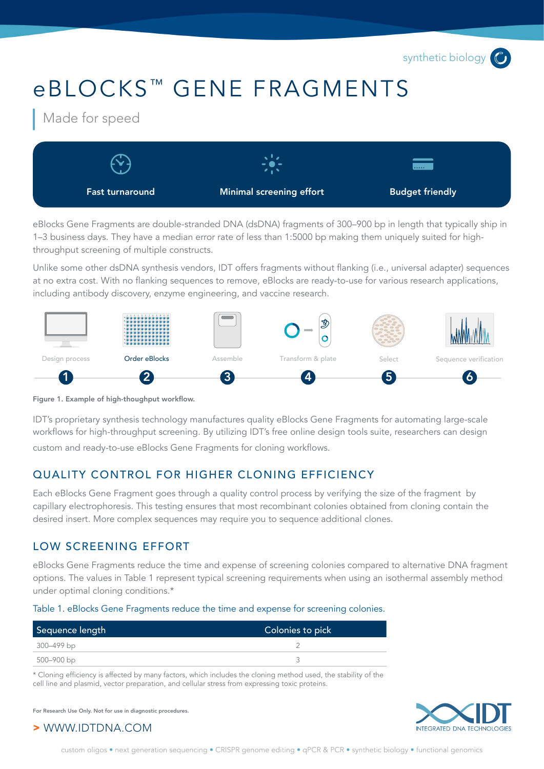synthetic biology<sup>6</sup>

# eBLOCKS<sup>™</sup> GENE FRAGMENTS

Made for speed



eBlocks Gene Fragments are double-stranded DNA (dsDNA) fragments of 300–900 bp in length that typically ship in 1–3 business days. They have a median error rate of less than 1:5000 bp making them uniquely suited for highthroughput screening of multiple constructs.

Unlike some other dsDNA synthesis vendors, IDT offers fragments without flanking (i.e., universal adapter) sequences at no extra cost. With no flanking sequences to remove, eBlocks are ready-to-use for various research applications, including antibody discovery, enzyme engineering, and vaccine research.





IDT's proprietary synthesis technology manufactures quality eBlocks Gene Fragments for automating large-scale workflows for high-throughput screening. By utilizing IDT's free online design tools suite, researchers can design custom and ready-to-use eBlocks Gene Fragments for cloning workflows.

## QUALITY CONTROL FOR HIGHER CLONING EFFICIENCY

Each eBlocks Gene Fragment goes through a quality control process by verifying the size of the fragment by capillary electrophoresis. This testing ensures that most recombinant colonies obtained from cloning contain the desired insert. More complex sequences may require you to sequence additional clones.

## LOW SCREENING EFFORT

eBlocks Gene Fragments reduce the time and expense of screening colonies compared to alternative DNA fragment options. The values in Table 1 represent typical screening requirements when using an isothermal assembly method under optimal cloning conditions.\*

#### Table 1. eBlocks Gene Fragments reduce the time and expense for screening colonies.

| Sequence length | Colonies to pick |
|-----------------|------------------|
| 300–499 bp      |                  |
| 500–900 bp      |                  |

\* Cloning efficiency is affected by many factors, which includes the cloning method used, the stability of the cell line and plasmid, vector preparation, and cellular stress from expressing toxic proteins.

For Research Use Only. Not for use in diagnostic procedures.



> WWW.IDTDNA.COM